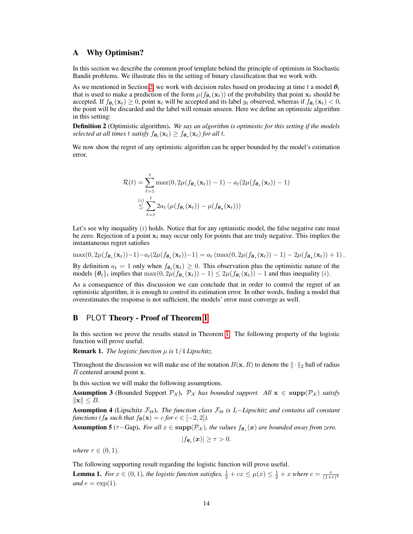## A Why Optimism?

In this section we describe the common proof template behind the principle of optimism in Stochastic Bandit problems. We illustrate this in the setting of binary classification that we work with.

As we mentioned in Section [2,](#page-0-0) we work with decision rules based on producing at time *t* a model  $\theta_t$ that is used to make a prediction of the form  $\mu(f_{\theta_t}(\mathbf{x}_t))$  of the probability that point  $\mathbf{x}_t$  should be accepted. If  $f_{\theta_t}(\mathbf{x}_t) \geq 0$ , point  $\mathbf{x}_t$  will be accepted and its label  $y_t$  observed, whereas if  $f_{\theta_t}(\mathbf{x}_t) < 0$ , the point will be discarded and the label will remain unseen. Here we define an optimistic algorithm in this setting:

Definition 2 (Optimistic algorithm). *We say an algorithm is optimistic for this setting if the models selected at all times t satisfy*  $f_{\theta_t}(\mathbf{x}_t) \geq f_{\theta_t}(\mathbf{x}_t)$  *for all t.* 

<span id="page-0-1"></span>We now show the regret of any optimistic algorithm can be upper bounded by the model's estimation error,

$$
\mathcal{R}(t) = \sum_{\ell=1}^{t} \max(0, 2\mu(f_{\boldsymbol{\theta}_{\star}}(\mathbf{x}_{t})) - 1) - a_{t}(2\mu(f_{\boldsymbol{\theta}_{\star}}(\mathbf{x}_{t})) - 1)
$$
  

$$
\leq \sum_{\ell=1}^{t} 2a_{t} \left(\mu(f_{\boldsymbol{\theta}_{t}}(\mathbf{x}_{t})) - \mu(f_{\boldsymbol{\theta}_{\star}}(\mathbf{x}_{t}))\right)
$$

<span id="page-0-5"></span>Let's see why inequality (*i*) holds. Notice that for any optimistic model, the false negative rate must be zero. Rejection of a point  $x_t$  may occur only for points that are truly negative. This implies the instantaneous regret satisfies

$$
\max(0, 2\mu(f_{\boldsymbol{\theta}_{\star}}(\mathbf{x}_t)) - 1) - a_t(2\mu(f_{\boldsymbol{\theta}_{\star}}(\mathbf{x}_t)) - 1) = a_t(\max(0, 2\mu(f_{\boldsymbol{\theta}_{\star}}(\mathbf{x}_t)) - 1) - 2\mu(f_{\boldsymbol{\theta}_{\star}}(\mathbf{x}_t)) + 1).
$$

By definition  $a_t = 1$  only when  $f_{\theta_t}(x_t) \geq 0$ . This observation plus the optimistic nature of the models  $\{\theta_t\}_t$  implies that  $\max(0, 2\mu(f_{\theta_t}(\mathbf{x}_t)) - 1) \leq 2\mu(f_{\theta_t}(\mathbf{x}_t)) - 1$  and thus inequality (*i*).

As a consequence of this discussion we can conclude that in order to control the regret of an optimistic algorithm, it is enough to control its estimation error. In other words, finding a model that overestimates the response is not sufficient, the models' error must converge as well.

## **B** PLOT Theory - Proof of Theorem [1](#page-0-1)

In this section we prove the results stated in Theorem  $\overline{I}$ . The following property of the logistic function will prove useful.

**Remark 1.** *The logistic function*  $\mu$  *is*  $1/4$  *Lipschitz.* 

Throughout the discussion we will make use of the notation  $B(x, R)$  to denote the  $\|\cdot\|_2$  ball of radius *R* centered around point x.

<span id="page-0-6"></span>In this section we will make the following assumptions.

**Assumption 3** (Bounded Support  $\mathcal{P}_\mathcal{X}$ ).  $\mathcal{P}_\mathcal{X}$  *has bounded support. All*  $\mathbf{x} \in \text{supp}(\mathcal{P}_\mathcal{X})$  *satisfy*  $\|\mathbf{x}\| \leq B$ .

<span id="page-0-2"></span>Assumption 4 (Lipschitz  $\mathcal{F}_{\Theta}$ ). The function class  $\mathcal{F}_{\Theta}$  is *L*–Lipschitz and contains all constant *functions (f* $\theta$  *such that*  $f_{\theta}(\mathbf{x}) = c$  *for*  $c \in [-2, 2]$ *).* 

<span id="page-0-3"></span>**Assumption 5** ( $\tau$ -Gap). *For all*  $x \in \text{supp}(\mathcal{P}_\mathcal{X})$ *, the values*  $f_{\theta_\star}(x)$  *are bounded away from zero.* 

$$
|f_{\boldsymbol{\theta}_{\star}}(\boldsymbol{x})| \geq \tau > 0.
$$

<span id="page-0-0"></span>*where*  $\tau \in (0, 1)$ *.* 

The following supporting result regarding the logistic function will prove useful.

<span id="page-0-4"></span>**Lemma 1.** For  $x \in (0, 1)$ , the logistic function satisfies,  $\frac{1}{2} + cx \leq \mu(x) \leq \frac{1}{2} + x$  where  $c = \frac{e}{(1+e)^2}$ *and*  $e = \exp(1)$ *.*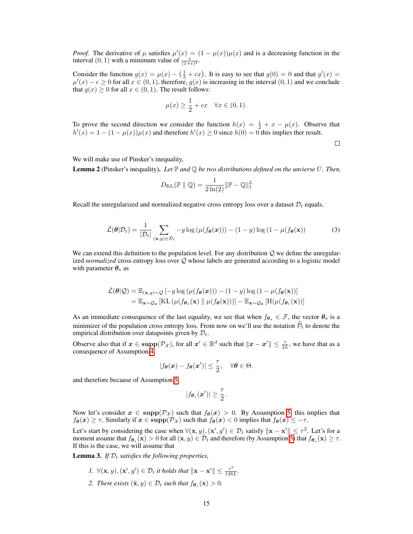*Proof.* The derivative of  $\mu$  satisfies  $\mu'(x) = (1 - \mu(x))\mu(x)$  and is a decreasing function in the interval  $(0, 1)$  with a minimum value of  $\frac{e}{(1+e)^2}$ .

Consider the function  $g(x) = \mu(x) - \left(\frac{1}{2} + cx\right)$ . It is easy to see that  $g(0) = 0$  and that  $g'(x) =$  $\mu'(x) - c \ge 0$  for all  $x \in (0,1)$ , therefore,  $g(x)$  is increasing in the interval  $(0,1)$  and we conclude that  $g(x) \geq 0$  for all  $x \in (0, 1)$ . The result follows:

$$
\mu(x) \ge \frac{1}{2} + cx \quad \forall x \in (0, 1).
$$

To prove the second direction we consider the function  $h(x) = \frac{1}{2} + x - \mu(x)$ . Observe that  $h'(x) = 1 - (1 - \mu(x))\mu(x)$  and therefore  $h'(x) \ge 0$  since  $h(0) = 0$  this implies ther result.

 $\Box$ 

We will make use of Pinsker's inequality,

<span id="page-1-0"></span>**Lemma 2** (Pinsker's inequality). Let  $\mathbb P$  and  $\mathbb Q$  be two distributions defined on the unvierse U. Then,

$$
D_{\mathrm{KL}}(\mathbb{P} \parallel \mathbb{Q}) = \frac{1}{2\ln(2)} \|\mathbb{P} - \mathbb{Q}\|_1^2
$$

Recall the unregularized and normalized negative cross entropy loss over a dataset  $\mathcal{D}_t$  equals,

$$
\bar{\mathcal{L}}(\boldsymbol{\theta}|\mathcal{D}_t) = \frac{1}{|\mathcal{D}_t|} \sum_{(\mathbf{x}, y) \in \mathcal{D}_t} -y \log \left(\mu(f_{\boldsymbol{\theta}}(\mathbf{x}))\right) - (1-y) \log \left(1 - \mu(f_{\boldsymbol{\theta}}(\mathbf{x}))\right)
$$
(3)

We can extend this definition to the population level. For any distribution *Q* we define the unregularized *normalized* cross entropy loss over *Q* whose labels are generated according to a logistic model with parameter  $\theta_{\star}$  as

$$
\bar{\mathcal{L}}(\theta|\mathcal{Q}) = \mathbb{E}_{(\mathbf{x},y)\sim\mathcal{Q}}\left[-y\log\left(\mu(f_{\theta}(\mathbf{x}))\right) - (1-y)\log\left(1 - \mu(f_{\theta}(\mathbf{x}))\right)\right]
$$
\n
$$
= \mathbb{E}_{\mathbf{x}\sim\mathcal{Q}_{\mathbf{x}}}\left[\mathrm{KL}\left(\mu(f_{\theta_{\star}}(\mathbf{x}) \parallel \mu(f_{\theta}(\mathbf{x}))\right) - \mathbb{E}_{\mathbf{x}\sim\mathcal{Q}_{\mathbf{x}}}\left[\mathrm{H}(\mu(f_{\theta_{\star}}(\mathbf{x}))\right]\right]
$$

As an immediate consequence of the last equality, we see that when  $f_{\theta_{\star}} \in \mathcal{F}$ , the vector  $\theta_{\star}$  is a minimizer of the population cross entropy loss. From now on we'll use the notation  $\mathcal{P}_t$  to denote the empirical distribution over datapoints given by *Dt*.

Observe also that if  $x \in \text{supp}(\mathcal{P}_\mathcal{X})$ , for all  $x' \in \mathbb{R}^d$  such that  $\|x - x'\| \leq \frac{\tau}{2L}$ , we have that as a consequence of Assumption  $\frac{4}{9}$ 

$$
|f_{\theta}(\boldsymbol{x}) - f_{\theta}(\boldsymbol{x}')| \leq \frac{\tau}{2}, \quad \forall \theta \in \Theta.
$$

and therefore because of Assumption [5,](#page-0-3)

$$
|f_{\theta_{\star}}(\boldsymbol{x}')| \geq \frac{\tau}{2}.
$$

Now let's consider  $x \in \text{supp}(\mathcal{P}_\mathcal{X})$  such that  $f_\theta(x) > 0$ . By Assumption  $\overline{5}$ , this implies that  $f_{\theta}(x) \geq \tau$ . Similarly if  $x \in \text{supp}(\mathcal{P}_{\mathcal{X}})$  such that  $f_{\theta}(x) < 0$  implies that  $f_{\theta}(x) \leq -\tau$ .

Let's start by considering the case when  $\forall (x, y), (x', y') \in \mathcal{D}_t$  satisfy  $\|x - x'\| \leq \tau^2$ . Let's for a moment assume that  $f_{\theta_{\star}}(\mathbf{x}) > 0$  for all  $(\mathbf{x}, y) \in \mathcal{D}_t$  and therefore (by Assumption  $5$ ) that  $f_{\theta_{\star}}(\mathbf{x}) \geq \tau$ . If this is the case, we will assume that

<span id="page-1-1"></span>Lemma 3. *If D<sup>t</sup> satisfies the following properties,*

- *I.*  $\forall (\mathbf{x}, y), (\mathbf{x}', y') \in \mathcal{D}_t$  *it holds that*  $\|\mathbf{x} \mathbf{x}'\| \le \frac{\tau^2}{128L}$ .
- *2. There exists*  $(\tilde{\mathbf{x}}, y) \in \mathcal{D}_t$  *such that*  $f_{\theta_*}(\mathbf{x}) > 0$ *.*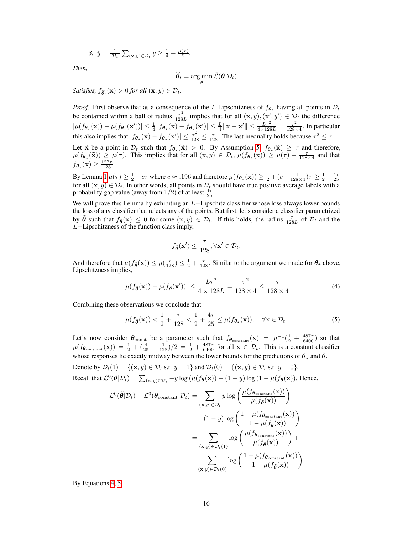3. 
$$
\hat{y} = \frac{1}{|\mathcal{D}_t|} \sum_{(\mathbf{x}, y) \in \mathcal{D}_t} y \ge \frac{1}{4} + \frac{\mu(\tau)}{2}.
$$

*Then,*

$$
\widehat{\boldsymbol{\theta}}_t = \argmin_{\boldsymbol{\theta}} \bar{\mathcal{L}}(\boldsymbol{\theta} | \mathcal{D}_t)
$$

 $Satisfies, f_{\widehat{\theta}_t}(\mathbf{x}) > 0$  *for all*  $(\mathbf{x}, y) \in \mathcal{D}_t$ *.* 

*Proof.* First observe that as a consequence of the *L*-Lipschitzness of  $f_{\theta_{\star}}$  having all points in  $\mathcal{D}_t$ be contained within a ball of radius  $\frac{\tau^2}{128L}$  implies that for all  $(\mathbf{x}, y), (\mathbf{x}', y') \in \mathcal{D}_t$  the difference  $|\mu(f_{\theta_{\star}}(\mathbf{x})) - \mu(f_{\theta_{\star}}(\mathbf{x}'))| \leq \frac{1}{4} |f_{\theta_{\star}}(\mathbf{x}) - f_{\theta_{\star}}(\mathbf{x}')| \leq \frac{L}{4} ||\mathbf{x} - \mathbf{x}'|| \leq \frac{L\tau^2}{4 \times 128L} = \frac{\tau^2}{128 \times 4}$ . In particular this also implies that  $|f_{\theta_{\star}}(\mathbf{x}) - f_{\theta_{\star}}(\mathbf{x}')| \leq \frac{\tau^2}{128} \leq \frac{\tau}{128}$ . The last inequality holds because  $\tau^2 \leq \tau$ .

Let  $\tilde{\mathbf{x}}$  be a point in  $\mathcal{D}_t$  such that  $f_{\theta_\star}(\tilde{\mathbf{x}}) > 0$ . By Assumption  $\overline{\mathcal{B}}, f_{\theta_\star}(\tilde{\mathbf{x}}) \geq \tau$  and therefore,  $\mu(f_{\theta_{\star}}(\widetilde{\mathbf{x}})) \geq \mu(\tau)$ . This implies that for all  $(\mathbf{x}, y) \in \mathcal{D}_t$ ,  $\mu(f_{\theta_{\star}}(\mathbf{x})) \geq \mu(\tau) - \frac{\tau}{128 \times 4}$  and that  $f_{\boldsymbol{\theta}_{\star}}(\mathbf{x}) \geq \frac{127\tau}{128}.$ 

By Lemma $\boxed{1}$  $\mu(\tau) \geq \frac{1}{2} + c\tau$  where  $c \approx .196$  and therefore  $\mu(f_{\theta_{\star}}(\mathbf{x})) \geq \frac{1}{2} + (c - \frac{1}{128 \times 4})\tau \geq \frac{1}{2} + \frac{4\tau}{25}$  for all  $(\mathbf{x}, y) \in \mathcal{D}_t$ . In other words, all points in  $\mathcal{D}_t$  should have true p probability gap value (away from  $1/2$ ) of at least  $\frac{4\tau}{25}$ .

We will prove this Lemma by exhibiting an *L*-Lipschitz classifier whose loss always lower bounds the loss of any classifier that rejects any of the points. But first, let's consider a classifier parametrized by  $\tilde{\theta}$  such that  $f_{\tilde{\theta}}(x) \leq 0$  for some  $(x, y) \in \mathcal{D}_t$ . If this holds, the radius  $\frac{\tau}{128L}$  of  $\mathcal{D}_t$  and the *L*-Lipschitzness of the function class imply,

<span id="page-2-1"></span>
$$
f_{\tilde{\boldsymbol{\theta}}}(\mathbf{x}') \leq \frac{\tau}{128}, \forall \mathbf{x}' \in \mathcal{D}_t.
$$

And therefore that  $\mu(f_{\tilde{\theta}}(\mathbf{x})) \leq \mu(\frac{\tau}{128}) \leq \frac{1}{2} + \frac{\tau}{128}$ . Similar to the argument we made for  $\theta_{\star}$  above, Lipschitzness implies,

<span id="page-2-0"></span>
$$
\left|\mu(f_{\tilde{\boldsymbol{\theta}}}(\mathbf{x})) - \mu(f_{\tilde{\boldsymbol{\theta}}}(\mathbf{x}'))\right| \le \frac{L\tau^2}{4 \times 128L} = \frac{\tau^2}{128 \times 4} \le \frac{\tau}{128 \times 4}
$$
(4)

Combining these observations we conclude that

$$
\mu(f_{\tilde{\boldsymbol{\theta}}}(\mathbf{x})) < \frac{1}{2} + \frac{\tau}{128} < \frac{1}{2} + \frac{4\tau}{25} \leq \mu(f_{\boldsymbol{\theta}_{\star}}(\mathbf{x})), \quad \forall \mathbf{x} \in \mathcal{D}_t.
$$
\n
$$
\tag{5}
$$

Let's now consider  $\theta_{\text{const}}$  be a parameter such that  $f_{\theta_{\text{constant}}}(\mathbf{x}) = \mu^{-1}(\frac{1}{2} + \frac{487\tau}{6400})$  so that  $\mu(f_{\theta_{\text{constant}}}(\mathbf{x})) = \frac{1}{2} + (\frac{4}{25} - \frac{1}{128})/2 = \frac{1}{2} + \frac{487\tau}{6400}$  for all  $\mathbf{x} \in \mathcal{D}_t$ . This is a constant classifier whose responses lie exactly midway between the lower bounds for the predictions of  $\theta_{\star}$  and  $\tilde{\theta}$ .

Denote by  $\mathcal{D}_t(1) = \{(\mathbf{x}, y) \in \mathcal{D}_t \text{ s.t. } y = 1\}$  and  $\mathcal{D}_t(0) = \{(\mathbf{x}, y) \in \mathcal{D}_t \text{ s.t. } y = 0\}.$ Recall that  $\mathcal{L}^0(\theta|\mathcal{D}_t) = \sum_{(\mathbf{x},y)\in\mathcal{D}_t} -y \log(\mu(f_\theta(\mathbf{x})) - (1-y) \log(1 - \mu(f_\theta(\mathbf{x})).$  Hence,

$$
\mathcal{L}^{0}(\tilde{\theta}|\mathcal{D}_{t}) - \mathcal{L}^{0}(\theta_{\text{constant}}|\mathcal{D}_{t}) = \sum_{(\mathbf{x}, y) \in \mathcal{D}_{t}} y \log \left( \frac{\mu(f_{\theta_{\text{constant}}}(\mathbf{x}))}{\mu(f_{\tilde{\theta}}(\mathbf{x}))} \right) +
$$

$$
(1 - y) \log \left( \frac{1 - \mu(f_{\theta_{\text{constant}}}(\mathbf{x}))}{1 - \mu(f_{\tilde{\theta}}(\mathbf{x}))} \right)
$$

$$
= \sum_{(\mathbf{x}, y) \in \mathcal{D}_{t}(1)} \log \left( \frac{\mu(f_{\theta_{\text{constant}}}(\mathbf{x}))}{\mu(f_{\tilde{\theta}}(\mathbf{x}))} \right) +
$$

$$
\sum_{(\mathbf{x}, y) \in \mathcal{D}_{t}(0)} \log \left( \frac{1 - \mu(f_{\theta_{\text{constant}}}(\mathbf{x}))}{1 - \mu(f_{\tilde{\theta}}(\mathbf{x}))} \right)
$$

By Equations [4,](#page-2-0) [5,](#page-2-1)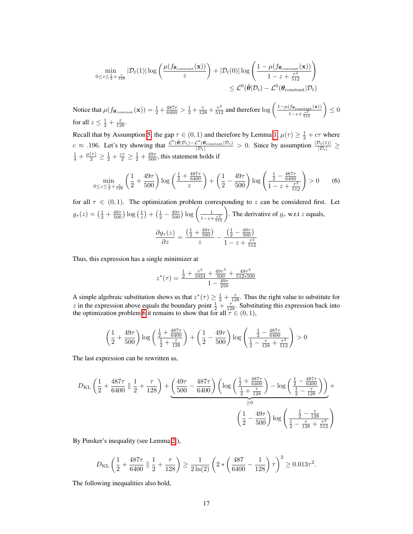$$
\min_{0 \leq z \leq \frac{1}{2} + \frac{\tau}{128}} |\mathcal{D}_t(1)| \log \left( \frac{\mu(f_{\boldsymbol{\theta}_{\text{constant}}}(\mathbf{x}))}{z} \right) + |\mathcal{D}_t(0)| \log \left( \frac{1 - \mu(f_{\boldsymbol{\theta}_{\text{constant}}}(\mathbf{x}))}{1 - z + \frac{\tau^2}{512}} \right) \leq \mathcal{L}^0(\tilde{\boldsymbol{\theta}}|\mathcal{D}_t) - \mathcal{L}^0(\boldsymbol{\theta}_{\text{constant}}|\mathcal{D}_t)
$$

Notice that  $\mu(f_{\theta_{\text{constant}}}(\mathbf{x})) = \frac{1}{2} + \frac{487\tau}{6400} > \frac{1}{2} + \frac{\tau}{128} + \frac{\tau^2}{512}$  and therefore  $\log \left( \frac{1 - \mu(f_{\theta_{\text{constant}}}(\mathbf{x}))}{1 - z + \frac{\tau^2}{2}} \right)$  $\frac{(f_{\boldsymbol{\theta}_{\text{constant}}}(x))}{1-z+\frac{\tau^2}{512}} \bigg) \leq 0$ for all  $z \leq \frac{1}{2} + \frac{\tau}{128}$ .

Recall that by Assumption  $\overline{5}$ , the gap  $\tau \in (0, 1)$  and therefore by Lemma  $\overline{1}$ ,  $\mu(\tau) \ge \frac{1}{2} + c\tau$  where  $c \approx .196$ . Let's try showing that  $\frac{\mathcal{L}^0(\tilde{\theta}|\mathcal{D}_t) - \mathcal{L}^0(\theta_{\text{constant}}|\mathcal{D}_t)}{|\mathcal{D}_t|} > 0$ . Since by assumption  $\frac{|\mathcal{D}_t(1)|}{|\mathcal{D}_t|} \ge \frac{1}{4} + \frac{\mu(\tau)}{2} \ge \frac{1}{2} + \frac{c\tau}{2} \ge \frac{1}{2} + \frac{49\tau}{500}$ , this statemen

<span id="page-3-0"></span>
$$
\min_{0 \le z \le \frac{1}{2} + \frac{\tau}{128}} \left( \frac{1}{2} + \frac{49\tau}{500} \right) \log \left( \frac{\frac{1}{2} + \frac{487\tau}{6400}}{z} \right) + \left( \frac{1}{2} - \frac{49\tau}{500} \right) \log \left( \frac{\frac{1}{2} - \frac{487\tau}{6400}}{1 - z + \frac{\tau^2}{512}} \right) > 0 \tag{6}
$$

for all  $\tau \in (0,1)$ . The optimization problem corresponding to *z* can be considered first. Let  $g_{\tau}(z) = \left(\frac{1}{2} + \frac{49\tau}{500}\right) \log\left(\frac{1}{z}\right) + \left(\frac{1}{2} - \frac{49\tau}{500}\right) \log\left(\frac{1}{1 - z + \frac{\tau^2}{512}}\right)$ . The derivative of  $g_{\tau}$  w.r.t *z* equals,  $\frac{\partial g_\tau(z)}{\partial z} =$  $(\frac{1}{2} + \frac{49\tau}{500})$ *z*  $\left(\frac{1}{2} - \frac{49\tau}{500}\right)$  $1 - z + \frac{\tau^2}{512}$ 

Thus, this expression has a single minimizer at

$$
z^*(\tau) = \frac{\frac{1}{2} + \frac{\tau^2}{1024} + \frac{49\tau^3}{500} + \frac{49\tau^2}{512*500}}{1 - \frac{49\tau}{250}}
$$

A simple algebraic substitution shows us that  $z^*(\tau) \ge \frac{1}{2} + \frac{\tau}{128}$ . Thus the right value to substitute for z in the expression above equals the boundary point  $\frac{1}{2} + \frac{\tau}{128}$ . Substituting this expression back into the optimization problem  $\boxed{6}$  it remains to show that for all  $\tau \in (0, 1)$ ,

$$
\left(\frac{1}{2}+\frac{49\tau}{500}\right) \log \left(\frac{\frac{1}{2}+\frac{487\tau}{6400}}{\frac{1}{2}+\frac{\tau}{128}}\right)+\left(\frac{1}{2}-\frac{49\tau}{500}\right) \log \left(\frac{\frac{1}{2}-\frac{487\tau}{6400}}{\frac{1}{2}-\frac{\tau}{128}+\frac{\tau^2}{512}}\right)>0
$$

The last expression can be rewritten as,

$$
D_{\text{KL}}\left(\frac{1}{2} + \frac{487\tau}{6400} \parallel \frac{1}{2} + \frac{\tau}{128}\right) + \underbrace{\left(\frac{49\tau}{500} - \frac{487\tau}{6400}\right)}_{\text{500}} \left(\log\left(\frac{\frac{1}{2} + \frac{487\tau}{6400}}{\frac{1}{2} + \frac{\tau}{128}}\right) - \log\left(\frac{\frac{1}{2} - \frac{487\tau}{6400}}{\frac{1}{2} - \frac{\tau}{128}}\right)\right) + \underbrace{\left(\frac{1}{2} - \frac{49\tau}{500}\right)}_{\geq 0} \log\left(\frac{\frac{1}{2} - \frac{\tau}{128}}{\frac{1}{2} - \frac{\tau}{128} + \frac{\tau^2}{512}}\right)
$$

By Pinsker's inequality (see Lemma  $\boxed{2}$ ),

$$
D_{\text{KL}}\left(\frac{1}{2} + \frac{487\tau}{6400} \parallel \frac{1}{2} + \frac{\tau}{128}\right) \ge \frac{1}{2\ln(2)} \left(2 * \left(\frac{487}{6400} - \frac{1}{128}\right)\tau\right)^2 \ge 0.013\tau^2.
$$

The following inequalities also hold,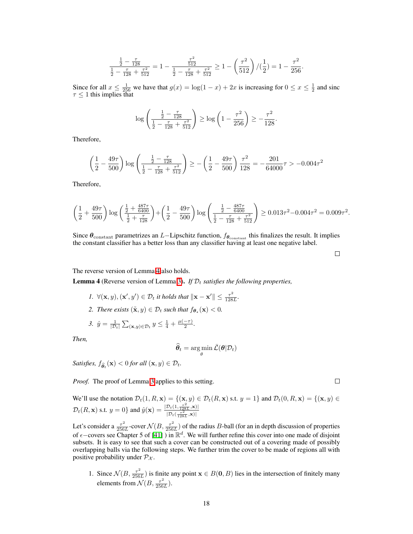$$
\frac{\frac{1}{2} - \frac{\tau}{128}}{\frac{1}{2} - \frac{\tau}{128} + \frac{\tau^2}{512}} = 1 - \frac{\frac{\tau^2}{512}}{\frac{1}{2} - \frac{\tau}{128} + \frac{\tau^2}{512}} \ge 1 - \left(\frac{\tau^2}{512}\right) / (\frac{1}{2}) = 1 - \frac{\tau^2}{256}.
$$

Since for all  $x \le \frac{1}{256}$  we have that  $g(x) = \log(1-x) + 2x$  is increasing for  $0 \le x \le \frac{1}{2}$  and sinc  $\tau \leq 1$  this implies that

$$
\log \left( \frac{\frac{1}{2} - \frac{\tau}{128}}{\frac{1}{2} - \frac{\tau}{128} + \frac{\tau^2}{512}} \right) \ge \log \left( 1 - \frac{\tau^2}{256} \right) \ge -\frac{\tau^2}{128}.
$$

Therefore,

$$
\left(\frac{1}{2} - \frac{49\tau}{500}\right) \log \left(\frac{\frac{1}{2} - \frac{\tau}{128}}{\frac{1}{2} - \frac{\tau}{128} + \frac{\tau^2}{512}}\right) \ge -\left(\frac{1}{2} - \frac{49\tau}{500}\right) \frac{\tau^2}{128} = -\frac{201}{64000}\tau > -0.004\tau^2
$$

Therefore,

$$
\left(\frac{1}{2} + \frac{49\tau}{500}\right) \log \left(\frac{\frac{1}{2} + \frac{487\tau}{6400}}{\frac{1}{2} + \frac{\tau}{128}}\right) + \left(\frac{1}{2} - \frac{49\tau}{500}\right) \log \left(\frac{\frac{1}{2} - \frac{487\tau}{6400}}{\frac{1}{2} - \frac{\tau}{128} + \frac{\tau^2}{512}}\right) \ge 0.013\tau^2 - 0.004\tau^2 = 0.009\tau^2.
$$

Since  $\theta_{\text{constant}}$  parametrizes an *L*—Lipschitz function,  $f_{\theta_{\text{constant}}}$  this finalizes the result. It implies the constant classifier has a better loss than any classifier having at least one negative label.

 $\Box$ 

The reverse version of Lemma  $\frac{4}{4}$  also holds.

<span id="page-4-0"></span>**Lemma 4** (Reverse version of Lemma  $\overline{3}$ ). *If*  $D_t$  *satisfies the following properties,* 

- *I.*  $\forall (\mathbf{x}, y), (\mathbf{x}', y') \in \mathcal{D}_t$  *it holds that*  $\|\mathbf{x} \mathbf{x}'\| \le \frac{\tau^2}{128L}$ .
- *2. There exists*  $(\tilde{\mathbf{x}}, y) \in \mathcal{D}_t$  *such that*  $f_{\boldsymbol{\theta}_*}(\mathbf{x}) < 0$ *.*

3. 
$$
\hat{y} = \frac{1}{|\mathcal{D}_t|} \sum_{(\mathbf{x}, y) \in \mathcal{D}_t} y \leq \frac{1}{4} + \frac{\mu(-\tau)}{2}.
$$

*Then,*

$$
\widehat{\bm{\theta}}_t = \argmin_{\bm{\theta}} \bar{\mathcal{L}}(\bm{\theta} | \mathcal{D}_t)
$$

 $Satisfies, f_{\widehat{\theta}_t}(\mathbf{x}) < 0$  *for all*  $(\mathbf{x}, y) \in \mathcal{D}_t$ *.* 

*Proof.* The proof of Lemma  $\overline{3}$  applies to this setting.

We'll use the notation  $\mathcal{D}_t(1, R, \mathbf{x}) = \{(\mathbf{x}, y) \in \mathcal{D}_t(R, \mathbf{x}) \text{ s.t. } y = 1\}$  and  $\mathcal{D}_t(0, R, \mathbf{x}) = \{(\mathbf{x}, y) \in \mathcal{D}_t(R, \mathbf{x})\}$  $\mathcal{D}_t(R, \mathbf{x})$  s.t.  $y = 0$ } and  $\hat{y}(\mathbf{x}) = \frac{|\mathcal{D}_t(1, \frac{\tau^2}{128L}, \mathbf{x})|}{|\mathcal{D}_t(\frac{\tau^2}{12\tau}, \mathbf{x})|}$  $|\mathcal{D}_t(\frac{\tau^2}{128L}, \mathbf{x})|$ 

Let's consider a  $\frac{\tau^2}{256L}$ -cover  $\mathcal{N}(B, \frac{\tau^2}{256L})$  of the radius *B*-ball (for an in depth discussion of properties of  $\epsilon$ -covers see Chapter 5 of  $[41]$  ) in  $\mathbb{R}^d$ . We will further refine this cover into one made of disjoint subsets. It is easy to see that such a cover can be constructed out of a covering made of possibly overlapping balls via the following steps. We further trim the cover to be made of regions all with positive probability under  $\mathcal{P}_{\mathcal{X}}$ .

1. Since  $\mathcal{N}(B, \frac{\tau^2}{256L})$  is finite any point  $\mathbf{x} \in B(\mathbf{0}, B)$  lies in the intersection of finitely many elements from  $\mathcal{N}(B, \frac{\tau^2}{256L})$ .

 $\Box$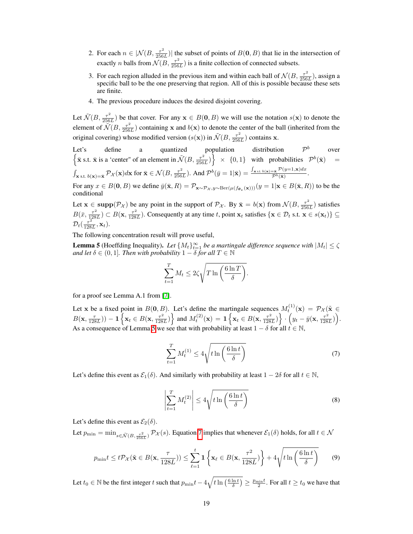- 2. For each  $n \in |\mathcal{N}(B, \frac{\tau^2}{256L})|$  the subset of points of  $B(\mathbf{0}, B)$  that lie in the intersection of exactly *n* balls from  $\mathcal{N}(B, \frac{\tau^2}{256L})$  is a finite collection of connected subsets.
- 3. For each region alluded in the previous item and within each ball of  $\mathcal{N}(B, \frac{\tau^2}{256L})$ , assign a specific ball to be the one preserving that region. All of this is possible because these sets are finite.
- 4. The previous procedure induces the desired disjoint covering.

Let  $\tilde{\mathcal{N}}(B, \frac{\tau^2}{256L})$  be that cover. For any  $\mathbf{x} \in B(\mathbf{0}, B)$  we will use the notation  $s(\mathbf{x})$  to denote the element of  $\tilde{\mathcal{N}}(B, \frac{\tau^2}{256L})$  containing x and  $b(x)$  to denote the center of the ball (inherited from the original covering) whose modified version ( $s(\mathbf{x})$ ) in  $\tilde{\mathcal{N}}(B, \frac{\tau^2}{256L})$  contains **x**.

Let's define a quantized population distribution  $\mathcal{P}^b$  over  $\{\bar{\mathbf{x}} s.t. \ \bar{\mathbf{x}} \text{ is a 'center'' of an element in } \mathcal{\tilde{N}}(B, \frac{\tau^2}{256L})\} \times \{0,1\}$  with probabilities  $\mathcal{P}^b(\bar{\mathbf{x}})$  =  $\int_{\mathbf{x} \text{ s.t. } b(\mathbf{x}) = \bar{\mathbf{x}}} \mathcal{P}_{\mathcal{X}}(\mathbf{x}) d\mathbf{x}$  for  $\bar{\mathbf{x}} \in \mathcal{N}(B, \frac{\tau^2}{256L}).$  And  $\mathcal{P}^b(\bar{y} = 1 | \bar{\mathbf{x}}) = \frac{\int_{\mathbf{x} \text{ s.t. } b(\mathbf{x}) = \bar{\mathbf{x}}} \mathcal{P}(y=1, \mathbf{x}) dx}{\mathcal{P}^b(\bar{\mathbf{x}})}.$ 

For any  $x \in B(0, B)$  we define  $\bar{y}(\bar{\mathbf{x}}, R) = \mathcal{P}_{\mathbf{x} \sim \mathcal{P}_{\mathbf{x}}, y \sim \text{Ber}(\mu(f_{\theta}(\mathbf{x})))}(y = 1 | \mathbf{x} \in B(\bar{\mathbf{x}}, R))$  to be the conditional

Let  $\mathbf{x} \in \text{supp}(\mathcal{P}_\mathcal{X})$  be any point in the support of  $\mathcal{P}_\mathcal{X}$ . By  $\bar{\mathbf{x}} = b(\mathbf{x})$  from  $\mathcal{N}(B, \frac{\tau^2}{256L})$  satisfies  $B(\bar{x}, \frac{\tau^2}{128L}) \subset B(\mathbf{x}, \frac{\tau^2}{128L})$ . Consequently at any time *t*, point  $\mathbf{x}_t$  satisfies  $\{\mathbf{x} \in \mathcal{D}_t \text{ s.t. } \mathbf{x} \in s(\mathbf{x}_t)\} \subseteq$  $\mathcal{D}_t(\frac{\tau^2}{128L}, \mathbf{x}_t)$ .

The following concentration result will prove useful,

<span id="page-5-0"></span>**Lemma 5** (Hoeffding Inequality). Let  $\{M_t\}_{t=1}^{\infty}$  be a martingale difference sequence with  $|M_t| \leq \zeta$ *and let*  $\delta \in (0, 1]$ *. Then with probability*  $1 - \delta$  *for all*  $T \in \mathbb{N}$ 

$$
\sum_{t=1}^{T} M_t \le 2\zeta \sqrt{T \ln\left(\frac{6\ln T}{\delta}\right)}.
$$

for a proof see Lemma A.1 from [\[7\]](#page-0-6).

<span id="page-5-1"></span>Let x be a fixed point in  $B(0, B)$ . Let's define the martingale sequences  $M_t^{(1)}(\mathbf{x}) = \mathcal{P}_{\mathcal{X}}(\tilde{\mathbf{x}})$  $B(\mathbf{x}, \frac{\tau}{128L}) - 1 \left\{ \mathbf{x}_t \in B(\mathbf{x}, \frac{\tau^2}{128L}) \right\}$  and  $M_t^{(2)}(\mathbf{x}) = 1 \left\{ \mathbf{x}_t \in B(\mathbf{x}, \frac{\tau^2}{128L}) \right\}$ *·*  $\left(y_t - \bar{y}(\mathbf{x}, \frac{\tau^2}{128L})\right)$ . As a consequence of Lemma  $5$  we see that with probability at least  $1 - \delta$  for all  $t \in \mathbb{N}$ ,

$$
\sum_{t=1}^{T} M_t^{(1)} \le 4\sqrt{t\ln\left(\frac{6\ln t}{\delta}\right)}\tag{7}
$$

<span id="page-5-2"></span>Let's define this event as  $\mathcal{E}_1(\delta)$ . And similarly with probability at least  $1 - 2\delta$  for all  $t \in \mathbb{N}$ ,

$$
\left| \sum_{t=1}^{T} M_t^{(2)} \right| \le 4 \sqrt{t \ln \left( \frac{6 \ln t}{\delta} \right)}
$$
 (8)

Let's define this event as  $\mathcal{E}_2(\delta)$ .

<span id="page-5-3"></span>Let  $p_{\min} = \min_{s \in \tilde{\mathcal{N}}(B, \frac{\tau^2}{256L})} \mathcal{P}_{\mathcal{X}}(s)$ . Equation  $\boxed{\mathcal{I}}$  implies that whenever  $\mathcal{E}_1(\delta)$  holds, for all  $t \in \mathcal{N}$ 

$$
p_{\min}t \le t \mathcal{P}_{\mathcal{X}}(\tilde{\mathbf{x}} \in B(\mathbf{x}, \frac{\tau}{128L})) \le \sum_{\ell=1}^{t} \mathbf{1}\left\{\mathbf{x}_{\ell} \in B(\mathbf{x}, \frac{\tau^2}{128L})\right\} + 4\sqrt{t\ln\left(\frac{6\ln t}{\delta}\right)}
$$
(9)

Let  $t_0 \in \mathbb{N}$  be the first integer  $t$  such that  $p_{\min}t - 4\sqrt{t \ln\left(\frac{6\ln t}{\delta}\right)} \ge \frac{p_{\min}t}{2}$ . For all  $t \ge t_0$  we have that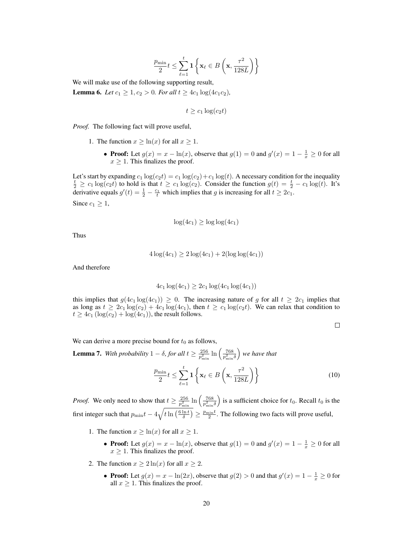$$
\frac{p_{\min}}{2}t \leq \sum_{\ell=1}^t \mathbf{1}\left\{\mathbf{x}_\ell \in B\left(\mathbf{x}, \frac{\tau^2}{128L}\right)\right\}
$$

We will make use of the following supporting result,

<span id="page-6-2"></span>**Lemma 6.** *Let*  $c_1 \geq 1, c_2 > 0$ *. For all*  $t \geq 4c_1 \log(4c_1c_2)$ *,* 

$$
t \geq c_1 \log(c_2 t)
$$

*Proof.* The following fact will prove useful,

- 1. The function  $x \geq \ln(x)$  for all  $x \geq 1$ .
	- **Proof:** Let  $g(x) = x \ln(x)$ , observe that  $g(1) = 0$  and  $g'(x) = 1 \frac{1}{x} \ge 0$  for all  $x \geq 1$ . This finalizes the proof.

Let's start by expanding  $c_1 \log(c_2 t) = c_1 \log(c_2) + c_1 \log(t)$ . A necessary condition for the inequality  $\frac{t}{2} \ge c_1 \log(c_2 t)$  to hold is that  $t \ge c_1 \log(c_2)$ . Consider the function  $g(t) = \frac{t}{2} - c_1 \log(t)$ . It's derivative equals  $g'(t) = \frac{1}{2} - \frac{c_1}{t}$  which implies that *g* is increasing for all  $t \ge 2c_1$ . Since  $c_1 \geq 1$ ,

$$
\log(4c_1) \ge \log \log(4c_1)
$$

Thus

$$
4\log(4c_1) \ge 2\log(4c_1) + 2(\log \log(4c_1))
$$

And therefore

$$
4c_1 \log(4c_1) \ge 2c_1 \log(4c_1 \log(4c_1))
$$

this implies that  $g(4c_1 \log(4c_1)) \geq 0$ . The increasing nature of *g* for all  $t \geq 2c_1$  implies that as long as  $t \geq 2c_1 \log(c_2) + 4c_1 \log(4c_1)$ , then  $t \geq c_1 \log(c_2 t)$ . We can relax that condition to  $t \geq 4c_1 (\log(c_2) + \log(4c_1))$ , the result follows.

<span id="page-6-1"></span> $\Box$ 

We can derive a more precise bound for  $t_0$  as follows,

<span id="page-6-0"></span>**Lemma 7.** With probability  $1 - \delta$ , for all  $t \ge \frac{256}{p_{\min}^2} \ln \left( \frac{768}{p_{\min}^2 \delta} \right)$ ⌘ *we have that p*min  $\frac{\min}{2}t \leq \sum_{\ell=1}^t$  $_{\ell=1}$ 1  $\sqrt{ }$  $\mathbf{x}_\ell \in B$  $\left(\mathbf{x}, \frac{\tau^2}{128L}\right)\right\}$  (10)

*Proof.* We only need to show that  $t \ge \frac{256}{p_{\min}^2} \ln \left( \frac{768}{p_{\min}^2 \delta} \right)$ ) is a sufficient choice for  $t_0$ . Recall  $t_0$  is the first integer such that  $p_{\min}t - 4\sqrt{t \ln\left(\frac{6 \ln t}{\delta}\right)} \ge \frac{p_{\min}t}{2}$ . The following two facts will prove useful,

- 1. The function  $x \geq \ln(x)$  for all  $x \geq 1$ .
	- **Proof:** Let  $g(x) = x \ln(x)$ , observe that  $g(1) = 0$  and  $g'(x) = 1 \frac{1}{x} \ge 0$  for all  $x \geq 1$ . This finalizes the proof.
- 2. The function  $x \ge 2 \ln(x)$  for all  $x \ge 2$ .
	- **Proof:** Let  $g(x) = x \ln(2x)$ , observe that  $g(2) > 0$  and that  $g'(x) = 1 \frac{1}{x} \ge 0$  for all  $x \geq 1$ . This finalizes the proof.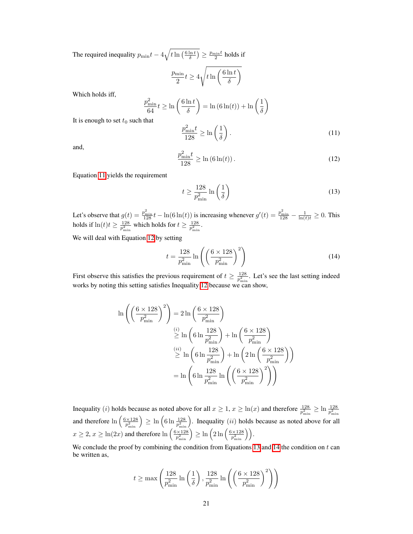The required inequality  $p_{\min}t - 4\sqrt{t \ln\left(\frac{6 \ln t}{\delta}\right)} \ge \frac{p_{\min}t}{2}$  holds if

$$
\frac{p_{\min}}{2}t \geq 4\sqrt{t\ln\left(\frac{6\ln t}{\delta}\right)}
$$

Which holds iff,

<span id="page-7-0"></span>
$$
\frac{p_{\min}^2}{64}t \ge \ln\left(\frac{6\ln t}{\delta}\right) = \ln\left(6\ln(t)\right) + \ln\left(\frac{1}{\delta}\right)
$$
that

It is enough to set  $t_0$  such

$$
\frac{p_{\min}^2 t}{128} \ge \ln\left(\frac{1}{\delta}\right). \tag{11}
$$

<span id="page-7-1"></span>and,

$$
\frac{p_{\min}^2 t}{128} \ge \ln(6\ln(t)).
$$
\n(12)

Equation  $\Pi$  yields the requirement

<span id="page-7-2"></span>
$$
t \ge \frac{128}{p_{\min}^2} \ln\left(\frac{1}{\delta}\right) \tag{13}
$$

Let's observe that  $g(t) = \frac{p_{\min}^2}{128}t - \ln(6\ln(t))$  is increasing whenever  $g'(t) = \frac{p_{\min}^2}{128} - \frac{1}{\ln(t)t} \ge 0$ . This holds if  $\ln(t)t \ge \frac{128}{p_{\min}^2}$  which holds for  $t \ge \frac{128}{p_{\min}^2}$ .

We will deal with Equation  $\boxed{12}$  by setting

<span id="page-7-3"></span>
$$
t = \frac{128}{p_{\min}^2} \ln\left(\left(\frac{6 \times 128}{p_{\min}^2}\right)^2\right) \tag{14}
$$

First observe this satisfies the previous requirement of  $t \ge \frac{128}{p_{\min}^2}$ . Let's see the last setting indeed works by noting this setting satisfies Inequality [12](#page-7-1) because we can show,

$$
\ln\left(\left(\frac{6\times128}{p_{\min}^2}\right)^2\right) = 2\ln\left(\frac{6\times128}{p_{\min}^2}\right)
$$
  

$$
\geq \ln\left(6\ln\frac{128}{p_{\min}^2}\right) + \ln\left(\frac{6\times128}{p_{\min}^2}\right)
$$
  

$$
\geq \ln\left(6\ln\frac{128}{p_{\min}^2}\right) + \ln\left(2\ln\left(\frac{6\times128}{p_{\min}^2}\right)\right)
$$
  

$$
= \ln\left(6\ln\frac{128}{p_{\min}^2}\ln\left(\left(\frac{6\times128}{p_{\min}^2}\right)^2\right)\right)
$$

Inequality (*i*) holds because as noted above for all  $x \ge 1$ ,  $x \ge \ln(x)$  and therefore  $\frac{128}{p_{\min}^2} \ge \ln \frac{128}{p_{\min}^2}$ and therefore  $\ln\left(\frac{6\times128}{p_{\min}^2}\right) \ge \ln\left(6\ln\frac{128}{p_{\min}^2}\right)$ . Inequality *(ii)* holds because as noted above for all  $x \ge 2, x \ge \ln(2x)$  and therefore  $\ln\left(\frac{6 \times 128}{p_{\min}^2}\right) \ge \ln\left(2\ln\left(\frac{6 \times 128}{p_{\min}^2}\right)\right)$ .

We conclude the proof by combining the condition from Equations  $\boxed{13}$  and  $\boxed{14}$  the condition on *t* can be written as,

$$
t \ge \max\left(\frac{128}{p_{\min}^2} \ln\left(\frac{1}{\delta}\right), \frac{128}{p_{\min}^2} \ln\left(\left(\frac{6 \times 128}{p_{\min}^2}\right)^2\right)\right)
$$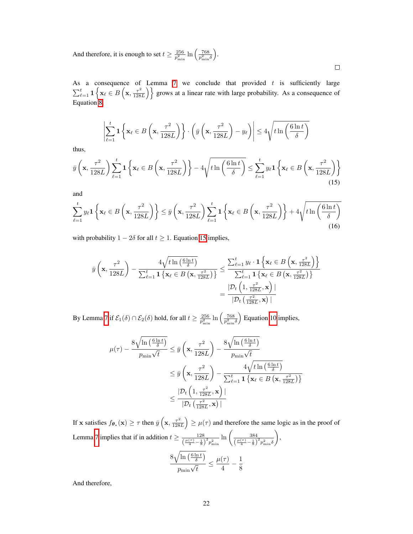And therefore, it is enough to set  $t \ge \frac{256}{p_{\min}^2} \ln \left( \frac{768}{p_{\min}^2 \delta} \right)$ ⌘ .

As a consequence of Lemma  $\overline{7}$  we conclude that provided t is sufficiently large  $\sum_{\ell=1}^t 1\left\{x_\ell \in B\left(x, \frac{\tau^2}{128L}\right)\right\}$  grows at a linear rate with large probability. As a consequence of Equation <mark>8</mark>,

<span id="page-8-1"></span><span id="page-8-0"></span> $\Box$ 

$$
\left|\sum_{\ell=1}^t \mathbf{1}\left\{\mathbf{x}_{\ell} \in B\left(\mathbf{x}, \frac{\tau^2}{128L}\right)\right\} \cdot \left(\bar{y}\left(\mathbf{x}, \frac{\tau^2}{128L}\right) - y_{\ell}\right)\right| \le 4\sqrt{t \ln\left(\frac{6\ln t}{\delta}\right)}
$$

thus,

$$
\bar{y}\left(\mathbf{x}, \frac{\tau^2}{128L}\right) \sum_{\ell=1}^t \mathbf{1}\left\{\mathbf{x}_{\ell} \in B\left(\mathbf{x}, \frac{\tau^2}{128L}\right)\right\} - 4\sqrt{t\ln\left(\frac{6\ln t}{\delta}\right)} \le \sum_{\ell=1}^t y_{\ell} \mathbf{1}\left\{\mathbf{x}_{\ell} \in B\left(\mathbf{x}, \frac{\tau^2}{128L}\right)\right\}
$$
\n(15)

and

$$
\sum_{\ell=1}^t y_\ell \mathbf{1}\left\{\mathbf{x}_\ell \in B\left(\mathbf{x}, \frac{\tau^2}{128L}\right)\right\} \le \bar{y}\left(\mathbf{x}, \frac{\tau^2}{128L}\right) \sum_{\ell=1}^t \mathbf{1}\left\{\mathbf{x}_\ell \in B\left(\mathbf{x}, \frac{\tau^2}{128L}\right)\right\} + 4\sqrt{t\ln\left(\frac{6\ln t}{\delta}\right)}\tag{16}
$$

with probability  $1 - 2\delta$  for all  $t \ge 1$ . Equation [15](#page-8-0) implies,

$$
\bar{y}\left(\mathbf{x}, \frac{\tau^2}{128L}\right) - \frac{4\sqrt{t\ln\left(\frac{6\ln t}{\delta}\right)}}{\sum_{\ell=1}^t \mathbf{1}\left\{\mathbf{x}_{\ell} \in B\left(\mathbf{x}, \frac{\tau^2}{128L}\right)\right\}} \le \frac{\sum_{\ell=1}^t y_{\ell} \cdot \mathbf{1}\left\{\mathbf{x}_{\ell} \in B\left(\mathbf{x}, \frac{\tau^2}{128L}\right)\right\}}{\sum_{\ell=1}^t \mathbf{1}\left\{\mathbf{x}_{\ell} \in B\left(\mathbf{x}, \frac{\tau^2}{128L}\right)\right\}} \\
= \frac{|\mathcal{D}_t\left(1, \frac{\tau^2}{128L}, \mathbf{x}\right)|}{|\mathcal{D}_t\left(\frac{\tau^2}{128L}, \mathbf{x}\right)|}
$$

By Lemma  $\frac{1}{2}$  if  $\mathcal{E}_1(\delta) \cap \mathcal{E}_2(\delta)$  hold, for all  $t \geq \frac{256}{p_{\min}^2} \ln \left( \frac{768}{p_{\min}^2 \delta} \right)$  $\sum$  Equation  $\boxed{10}$  implies,

$$
\mu(\tau) - \frac{8\sqrt{\ln\left(\frac{6\ln t}{\delta}\right)}}{p_{\min}\sqrt{t}} \leq \bar{y}\left(\mathbf{x}, \frac{\tau^2}{128L}\right) - \frac{8\sqrt{\ln\left(\frac{6\ln t}{\delta}\right)}}{p_{\min}\sqrt{t}}
$$

$$
\leq \bar{y}\left(\mathbf{x}, \frac{\tau^2}{128L}\right) - \frac{4\sqrt{t\ln\left(\frac{6\ln t}{\delta}\right)}}{\sum_{\ell=1}^t \mathbf{1}\left\{\mathbf{x}_{\ell} \in B\left(\mathbf{x}, \frac{\tau^2}{128L}\right)\right\}}
$$

$$
\leq \frac{|\mathcal{D}_t\left(1, \frac{\tau^2}{128L}, \mathbf{x}\right)|}{|\mathcal{D}_t\left(\frac{\tau^2}{128L}, \mathbf{x}\right)|}
$$

If **x** satisfies  $f_{\theta_{\star}}(\mathbf{x}) \ge \tau$  then  $\bar{y} \left( \mathbf{x}, \frac{\tau^2}{128L} \right)$  $\left( \frac{1}{2} \right) \ge \mu(\tau)$  and therefore the same logic as in the proof of Lemma [7](#page-6-0) implies that if in addition  $t \ge \frac{128}{\left(\frac{\mu(\tau)}{4} - \frac{1}{8}\right)^2 p_{\min}^2} \ln\left(\frac{384}{\left(\frac{\mu(\tau)}{4} - \frac{1}{8}\right)}\right)$  $\left(\frac{\mu(\tau)}{4}-\frac{1}{8}\right)^2 p_{\min}^2 \delta$ ◆ ,  $8\sqrt{\ln\left(\frac{6\ln t}{\delta}\right)}$  $\frac{\mu(\tau)}{p_{\min}\sqrt{t}} \leq \frac{\mu(\tau)}{4} - \frac{1}{8}$ 

And therefore,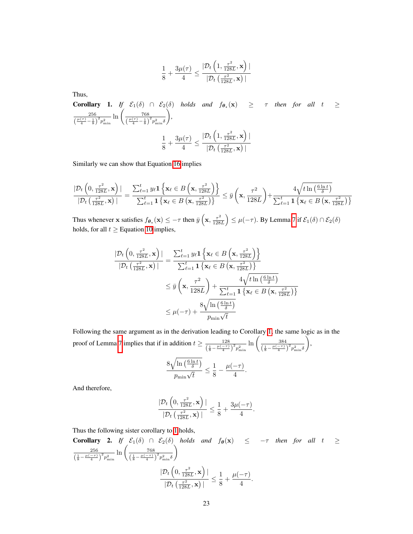$$
\frac{1}{8} + \frac{3\mu(\tau)}{4} \le \frac{|\mathcal{D}_t\left(1, \frac{\tau^2}{128L}, \mathbf{x}\right)|}{|\mathcal{D}_t\left(\frac{\tau^2}{128L}, \mathbf{x}\right)|}
$$

Thus,

<span id="page-9-0"></span>**Corollary 1.** *If*  $\mathcal{E}_1(\delta)$  ∩  $\mathcal{E}_2(\delta)$  *holds and*  $f_{\theta_*}(\mathbf{x})$  ≥  $\tau$  *then for all t* ≥ 256  $\frac{256}{\left(\frac{\mu(\tau)}{4} - \frac{1}{8}\right)^2 p_{\min}^2} \ln \left(\frac{768}{\left(\frac{\mu(\tau)}{4} - \frac{1}{8}\right)}\right)$  $\sqrt{\frac{\mu(\tau)}{4}-\frac{1}{8}}^2 p_{\min}^2 \delta$ ◆ *,*  $\frac{1}{8} + \frac{3\mu(\tau)}{4}$  $\frac{1}{4}$   $\leq$  $|D_t|$  $\left(1, \frac{\tau^2}{128L}, \mathbf{x}\right)$ *|*  $|\mathcal{D}_t\left(\frac{\tau^2}{128L}, \mathbf{x}\right)|$ 

Similarly we can show that Equation  $\overline{16}$  implies

$$
\frac{|\mathcal{D}_{t}\left(0, \frac{\tau^2}{128L}, \mathbf{x}\right)|}{|\mathcal{D}_{t}\left(\frac{\tau^2}{128L}, \mathbf{x}\right)|} = \frac{\sum_{\ell=1}^{t} y_{\ell} \mathbf{1}\left\{\mathbf{x}_{\ell} \in B\left(\mathbf{x}, \frac{\tau^2}{128L}\right)\right\}}{\sum_{\ell=1}^{t} \mathbf{1}\left\{\mathbf{x}_{\ell} \in B\left(\mathbf{x}, \frac{\tau^2}{128L}\right)\right\}} \leq \bar{y}\left(\mathbf{x}, \frac{\tau^2}{128L}\right) + \frac{4\sqrt{t\ln\left(\frac{6\ln t}{\delta}\right)}}{\sum_{\ell=1}^{t} \mathbf{1}\left\{\mathbf{x}_{\ell} \in B\left(\mathbf{x}, \frac{\tau^2}{128L}\right)\right\}}
$$

Thus whenever **x** satisfies  $f_{\theta_{\star}}(\mathbf{x}) \le -\tau$  then  $\bar{y}$   $\left(\mathbf{x}, \frac{\tau^2}{128L}\right)$  $\left( \frac{1}{\epsilon} \right) \leq \mu(-\tau)$ . By Lemma  $\sqrt{7}$  if  $\mathcal{E}_1(\delta) \cap \mathcal{E}_2(\delta)$ holds, for all  $t \geq$  Equation  $\boxed{10}$  implies,

$$
\frac{|\mathcal{D}_{t}\left(0, \frac{\tau^{2}}{128L}, \mathbf{x}\right)|}{|\mathcal{D}_{t}\left(\frac{\tau^{2}}{128L}, \mathbf{x}\right)|} = \frac{\sum_{\ell=1}^{t} y_{\ell} \mathbf{1}\left\{\mathbf{x}_{\ell} \in B\left(\mathbf{x}, \frac{\tau^{2}}{128L}\right)\right\}}{\sum_{\ell=1}^{t} \mathbf{1}\left\{\mathbf{x}_{\ell} \in B\left(\mathbf{x}, \frac{\tau^{2}}{128L}\right)\right\}}\n\n
$$
\leq \bar{y}\left(\mathbf{x}, \frac{\tau^{2}}{128L}\right) + \frac{4\sqrt{t \ln\left(\frac{6 \ln t}{\delta}\right)}}{\sum_{\ell=1}^{t} \mathbf{1}\left\{\mathbf{x}_{\ell} \in B\left(\mathbf{x}, \frac{\tau^{2}}{128L}\right)\right\}}\n\n
$$
\leq \mu(-\tau) + \frac{8\sqrt{\ln\left(\frac{6 \ln t}{\delta}\right)}}{p_{\min}\sqrt{t}}
$$
$$
$$

Following the same argument as in the derivation leading to Corollary  $\boxed{1}$ , the same logic as in the proof of Lemma  $\frac{128}{\left(\frac{1}{8} - \frac{\mu(-\tau)}{4}\right)^2 p_{\min}^2} \ln\left(\frac{384}{\left(\frac{1}{8} - \frac{\mu(-\tau)}{4}\right)^2} \right)$  $\left(\frac{1}{8} - \frac{\mu(-\tau)}{4}\right)^2 p_{\min}^2 \delta$ ◆ ,  $8\sqrt{\ln\left(\frac{6\ln t}{\delta}\right)}$  $\frac{1}{p_{\min}\sqrt{t}} \leq$  $\frac{1}{8} - \frac{\mu(-\tau)}{4}.$ 

And therefore,

$$
\frac{|\mathcal{D}_{t}\left(0, \frac{\tau^2}{128L}, \mathbf{x}\right)|}{|\mathcal{D}_{t}\left(\frac{\tau^2}{128L}, \mathbf{x}\right)|} \leq \frac{1}{8} + \frac{3\mu(-\tau)}{4}.
$$

Thus the following sister corollary to  $\sqrt{1}$  holds,

<span id="page-9-1"></span>**Corollary 2.** If 
$$
\mathcal{E}_1(\delta) \cap \mathcal{E}_2(\delta)
$$
 holds and  $f_{\theta}(\mathbf{x}) \le -\tau$  then for all  $t \ge \frac{256}{\left(\frac{1}{8} - \frac{\mu(-\tau)}{4}\right)^2 p_{\min}^2} \ln\left(\frac{768}{\left(\frac{1}{8} - \frac{\mu(-\tau)}{4}\right)^2 p_{\min}^2 \delta}\right)$   

$$
\frac{|\mathcal{D}_t\left(0, \frac{\tau^2}{128L}, \mathbf{x}\right)|}{|\mathcal{D}_t\left(\frac{\tau^2}{128L}, \mathbf{x}\right)|} \le \frac{1}{8} + \frac{\mu(-\tau)}{4}.
$$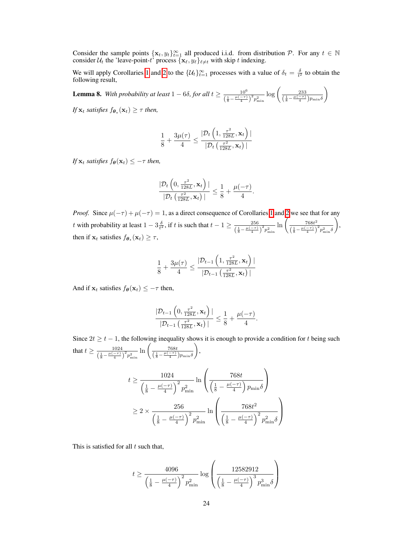Consider the sample points  $\{x_t, y_t\}_{t=1}^{\infty}$  all produced i.i.d. from distribution  $P$ . For any  $t \in \mathbb{N}$ consider  $\mathcal{U}_t$  the 'leave-point-*t*' process  $\{x_\ell, y_\ell\}_{\ell \neq t}$  with skip *t* indexing.

We will apply Corollaries  $\boxed{1}$  and  $\boxed{2}$  to the  $\{U_t\}_{t=1}^{\infty}$  processes with a value of  $\delta_t = \frac{\delta}{t^2}$  to obtain the following result,

<span id="page-10-0"></span>**Lemma 8.** With probability at least  $1 - 6\delta$ , for all  $t \ge \frac{10^6}{\left(\frac{1}{8} - \frac{\mu(-\tau)}{4}\right)^2 p_{\min}^2} \log \left( \frac{233}{\left(\frac{1}{8} - \frac{\mu(-\tau)}{4}\right) p_{\min} \delta} \right)$ ◆

*If*  $\mathbf{x}_t$  *satisfies*  $f_{\theta_{\star}}(\mathbf{x}_t) \geq \tau$  *then,* 

$$
\frac{1}{8} + \frac{3\mu(\tau)}{4} \le \frac{|\mathcal{D}_t\left(1, \frac{\tau^2}{128L}, \mathbf{x}_t\right)|}{|\mathcal{D}_t\left(\frac{\tau^2}{128L}, \mathbf{x}_t\right)|}
$$

*If*  $\mathbf{x}_t$  *satisfies*  $f_{\theta}(\mathbf{x}_t) \leq -\tau$  *then,* 

$$
\frac{|\mathcal{D}_t\left(0,\frac{\tau^2}{128L},\mathbf{x}_t\right)|}{|\mathcal{D}_t\left(\frac{\tau^2}{128L},\mathbf{x}_t\right)|} \leq \frac{1}{8} + \frac{\mu(-\tau)}{4}.
$$

*Proof.* Since  $\mu(-\tau) + \mu(-\tau) = 1$  $\mu(-\tau) + \mu(-\tau) = 1$ , as a direct consequence of Corollaries  $\sqrt{1}$  and  $\sqrt{2}$  we see that for any *t* with probability at least  $1 - 3\frac{\delta}{t^2}$ , if *t* is such that  $t - 1 \ge \frac{256}{\left(\frac{1}{8} - \frac{\mu(-\tau)}{4}\right)^2 p_{\min}^2} \ln \left( \frac{768t^2}{\left(\frac{1}{8} - \frac{\mu(-\tau)}{4}\right)} \right)$  $\left(\frac{1}{8} - \frac{\mu(-\tau)}{4}\right)^2 p_{\min}^2 \delta$ ◆ , then if  $\mathbf{x}_t$  satisfies  $f_{\theta_\star}(\mathbf{x}_t) \geq \tau$ ,

$$
\frac{1}{8} + \frac{3\mu(\tau)}{4} \le \frac{|\mathcal{D}_{t-1}\left(1, \frac{\tau^2}{128L}, \mathbf{x}_t\right)|}{|\mathcal{D}_{t-1}\left(\frac{\tau^2}{128L}, \mathbf{x}_t\right)|}
$$

And if  $\mathbf{x}_t$  satisfies  $f_{\theta}(\mathbf{x}_t) \leq -\tau$  then,

$$
\frac{|\mathcal{D}_{t-1}\left(0, \frac{\tau^2}{128L}, \mathbf{x}_t\right)|}{|\mathcal{D}_{t-1}\left(\frac{\tau^2}{128L}, \mathbf{x}_t\right)|} \leq \frac{1}{8} + \frac{\mu(-\tau)}{4}.
$$

Since  $2t \geq t - 1$ , the following inequality shows it is enough to provide a condition for *t* being such that  $t \ge \frac{1024}{(\frac{1}{8} - \frac{\mu(-\tau)}{4})^2 p_{\min}^2} \ln\left(\frac{768t}{(\frac{1}{8} - \frac{\mu(-\tau)}{4}) p_{\min}\delta}\right)$ ◆ ,  $\overline{1}$ 1

$$
t \ge \frac{1024}{\left(\frac{1}{8} - \frac{\mu(-\tau)}{4}\right)^2 p_{\min}^2} \ln\left(\frac{768t}{\left(\frac{1}{8} - \frac{\mu(-\tau)}{4}\right) p_{\min}\delta}\right)
$$
  

$$
\ge 2 \times \frac{256}{\left(\frac{1}{8} - \frac{\mu(-\tau)}{4}\right)^2 p_{\min}^2} \ln\left(\frac{768t^2}{\left(\frac{1}{8} - \frac{\mu(-\tau)}{4}\right)^2 p_{\min}^2 \delta}\right)
$$

This is satisfied for all *t* such that,

$$
t \geq \frac{4096}{\left(\frac{1}{8} - \frac{\mu(-\tau)}{4}\right)^2 p_{\min}^2} \log \left(\frac{12582912}{\left(\frac{1}{8} - \frac{\mu(-\tau)}{4}\right)^3 p_{\min}^3 \delta}\right)
$$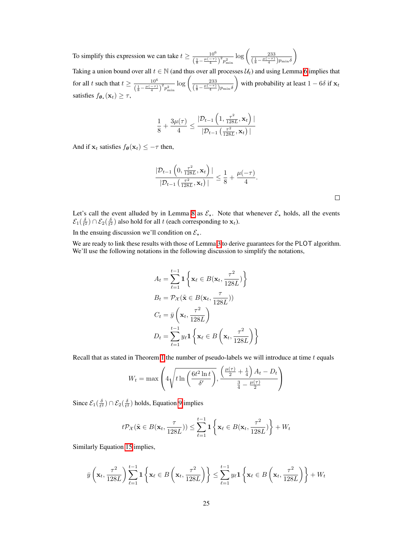To simplify this expression we can take  $t \ge \frac{10^6}{\left(\frac{1}{8} - \frac{\mu(-\tau)}{4}\right)^2 p_{\min}^2} \log \left( \frac{233}{\left(\frac{1}{8} - \frac{\mu(-\tau)}{4}\right) p_{\min} \delta} \right)$ ◆

Taking a union bound over all  $t \in \mathbb{N}$  (and thus over all processes  $\mathcal{U}_t$ ) and using Lemma [6](#page-6-2) implies that for all *t* such that  $t \ge \frac{10^6}{\left(\frac{1}{8} - \frac{\mu(-\tau)}{4}\right)^2 p_{\min}^2} \log \left( \frac{233}{\left(\frac{1}{8} - \frac{\mu(-\tau)}{4}\right) p_{\min} \delta} \right)$ ◆ with probability at least  $1 - 6\delta$  if  $\mathbf{x}_t$ satisfies  $f_{\theta_{\star}}(\mathbf{x}_t) \geq \tau$ ,

$$
\frac{1}{8} + \frac{3\mu(\tau)}{4} \le \frac{|\mathcal{D}_{t-1}\left(1, \frac{\tau^2}{128L}, \mathbf{x}_t\right)|}{|\mathcal{D}_{t-1}\left(\frac{\tau^2}{128L}, \mathbf{x}_t\right)|}
$$

And if  $\mathbf{x}_t$  satisfies  $f_{\theta}(\mathbf{x}_t) \leq -\tau$  then,

$$
\frac{|\mathcal{D}_{t-1}\left(0, \frac{\tau^2}{128L}, \mathbf{x}_t\right)|}{|\mathcal{D}_{t-1}\left(\frac{\tau^2}{128L}, \mathbf{x}_t\right)|} \leq \frac{1}{8} + \frac{\mu(-\tau)}{4}.
$$

Let's call the event alluded by in Lemma  $\mathcal{B}$  as  $\mathcal{E}_*$ . Note that whenever  $\mathcal{E}_*$  holds, all the events  $\mathcal{E}_1(\frac{\delta}{t^2}) \cap \mathcal{E}_2(\frac{\delta}{t^2})$  also hold for all *t* (each corresponding to  $\mathbf{x}_t$ ).

In the ensuing discussion we'll condition on  $\mathcal{E}_{\star}$ .

We are ready to link these results with those of Lemma  $3$  to derive guarantees for the PLOT algorithm. We'll use the following notations in the following discussion to simplify the notations,

$$
A_t = \sum_{\ell=1}^{t-1} \mathbf{1} \left\{ \mathbf{x}_{\ell} \in B(\mathbf{x}_t, \frac{\tau^2}{128L}) \right\}
$$
  
\n
$$
B_t = \mathcal{P}_{\mathcal{X}}(\tilde{\mathbf{x}} \in B(\mathbf{x}_t, \frac{\tau}{128L}))
$$
  
\n
$$
C_t = \bar{y} \left( \mathbf{x}_t, \frac{\tau^2}{128L} \right)
$$
  
\n
$$
D_t = \sum_{\ell=1}^{t-1} y_{\ell} \mathbf{1} \left\{ \mathbf{x}_{\ell} \in B \left( \mathbf{x}_t, \frac{\tau^2}{128L} \right) \right\}
$$

Recall that as stated in Theorem  $\prod$  the number of pseudo-labels we will introduce at time *t* equals

$$
W_t = \max\left(4\sqrt{t\ln\left(\frac{6t^2\ln t}{\delta'}\right)}, \frac{\left(\frac{\mu(\tau)}{2} + \frac{1}{4}\right)A_t - D_t}{\frac{3}{4} - \frac{\mu(\tau)}{2}}\right)
$$

Since  $\mathcal{E}_1(\frac{\delta}{t^2}) \cap \mathcal{E}_2(\frac{\delta}{t^2})$  holds, Equation **9** implies

$$
t\mathcal{P}_{\mathcal{X}}(\tilde{\mathbf{x}}\in B(\mathbf{x}_t,\frac{\tau}{128L}))\leq \sum_{\ell=1}^{t-1}\mathbf{1}\left\{\mathbf{x}_{\ell}\in B(\mathbf{x}_t,\frac{\tau^2}{128L})\right\}+W_t
$$

Similarly Equation [15](#page-8-0) implies,

$$
\bar{y}\left(\mathbf{x}_{t}, \frac{\tau^{2}}{128L}\right) \sum_{\ell=1}^{t-1} \mathbf{1}\left\{\mathbf{x}_{\ell} \in B\left(\mathbf{x}_{t}, \frac{\tau^{2}}{128L}\right)\right\} \leq \sum_{\ell=1}^{t-1} y_{\ell} \mathbf{1}\left\{\mathbf{x}_{\ell} \in B\left(\mathbf{x}_{t}, \frac{\tau^{2}}{128L}\right)\right\} + W_{t}
$$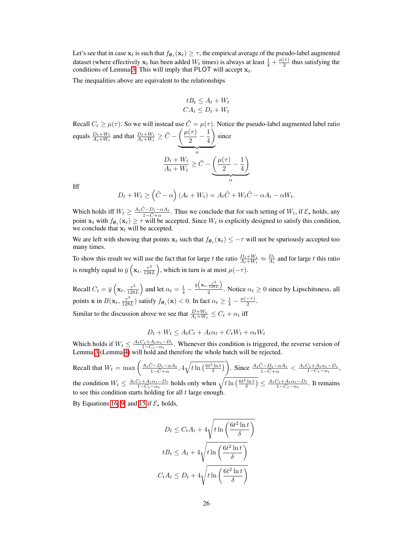Let's see that in case  $x_t$  is such that  $f_{\theta_x}(x_t) \geq \tau$ , the empirical average of the pseudo-label augmented dataset (where effectively  $x_t$  has been added  $W_t$  times) is always at least  $\frac{1}{4} + \frac{\mu(\tau)}{2}$  thus satisfying the conditions of Lemma  $\overline{\mathcal{B}}$ . This will imply that PLOT will accept  $\mathbf{x}_t$ .

The inequalities above are equivalent to the relationships

$$
tB_t \le A_t + W_t
$$
  

$$
CA_t \le D_t + W_t
$$

Recall  $C_t \geq \mu(\tau)$ . So we will instead use  $\tilde{C} = \mu(\tau)$ . Notice the pseudo-label augmented label ratio equals  $\frac{D_t + W_t}{A_t + W_t}$  and that  $\frac{D_t + W_t}{A_t + W_t} \ge \tilde{C} - \left(\frac{\mu(\tau)}{2} - \frac{1}{4}\right)$ ◆  $\overline{a}$ since  $D_t + W_t$  $\frac{D_t + W_t}{A_t + W_t} \ge \tilde{C} - \left(\frac{\mu(\tau)}{2} - \frac{1}{4}\right)$ ◆  $\alpha$ 

Iff

$$
D_t + W_t \geq (\tilde{C} - \alpha) (A_t + W_t) = A_t \tilde{C} + W_t \tilde{C} - \alpha A_t - \alpha W_t.
$$

Which holds iff  $W_t \ge \frac{A_t \tilde{C} - D_t - \alpha A_t}{1 - \tilde{C} + \alpha}$ . Thus we conclude that for such setting of  $W_t$ , if  $\mathcal{E}_x$  holds, any point  $\mathbf{x}_t$  with  $f_{\theta_\star}(\mathbf{x}_t) \geq \tau$  will be accepted. Since  $W_t$  is explicitly designed to satisfy this condition, we conclude that  $x_t$  will be accepted.

We are left with showing that points  $x_t$  such that  $f_{\theta_t}(x_t) \leq -\tau$  will not be spuriously accepted too many times.

To show this result we will use the fact that for large *t* the ratio  $\frac{D_t+W_t}{A_t+W_t} \approx \frac{D_t}{A_t}$  and for large *t* this ratio is roughly equal to  $\bar{y}$   $\left(\mathbf{x}_t, \frac{\tau^2}{128L}\right)$ ), which in turn is at most  $\mu(-\tau)$ .

Recall  $C_t = \bar{y} \left( \mathbf{x}_t, \frac{\tau^2}{128L} \right)$ ) and let  $\alpha_t = \frac{1}{4} - \frac{\bar{y} \left( \mathbf{x}_t, \frac{\tau^2}{128L} \right)}{2}$  $\frac{128L}{2}$ . Notice  $\alpha_t \geq 0$  since by Lipschitsness, all points **x** in  $B(\mathbf{x}_t, \frac{\tau^2}{128L})$  satisfy  $f_{\theta_*}(\mathbf{x}) < 0$ . In fact  $\alpha_t \geq \frac{1}{4} - \frac{\mu(-\tau)}{2}$ . Similar to the discussion above we see that  $\frac{D+W_t}{A_t+W_t} \leq C_t + \alpha_t$  iff

$$
D_t + W_t \le A_t C_t + A_t \alpha_t + C_t W_t + \alpha_t W_t
$$

Which holds if  $W_t \n\t\leq \frac{A_t C_t + A_t \alpha_t - D_t}{1 - C_t - \alpha_t}$ . Whenever this condition is triggered, the reverse version of Lemma  $\beta$  (Lemma  $\beta$ ) will hold and therefore the whole batch will be rejected.

Recall that  $W_t = \max\left(\frac{A_t\tilde{C} - D_t - \alpha A_t}{1 - \tilde{C} + \alpha}, \frac{4\sqrt{t \ln\left(\frac{6t^2 \ln t}{\delta}\right)}}{1 - \tilde{C} + \alpha}\right)$ . Since  $\frac{A_t\tilde{C} - D_t - \alpha A_t}{1 - \tilde{C} + \alpha} < \frac{A_tC_t + A_t\alpha_t - D_t}{1 - C_t - \alpha_t}$ , the condition  $W_t \leq \frac{A_t C_t + A_t \alpha_t - D_t}{1 - C_t - \alpha_t}$  holds only when  $\sqrt{t \ln\left(\frac{6t^2 \ln t}{\delta}\right)} \leq \frac{A_t C_t + A_t \alpha_t - D_t}{1 - C_t - \alpha_t}$ . It remains to see this condition starts holding for all *t* large enough.

By Equations  $\overline{16}$ ,  $\overline{9}$ , and  $\overline{15}$  if  $\mathcal{E}_{\star}$  holds,

$$
D_t \le C_t A_t + 4\sqrt{t \ln\left(\frac{6t^2 \ln t}{\delta}\right)}
$$

$$
t B_t \le A_t + 4\sqrt{t \ln\left(\frac{6t^2 \ln t}{\delta}\right)}
$$

$$
C_t A_t \le D_t + 4\sqrt{t \ln\left(\frac{6t^2 \ln t}{\delta}\right)}
$$